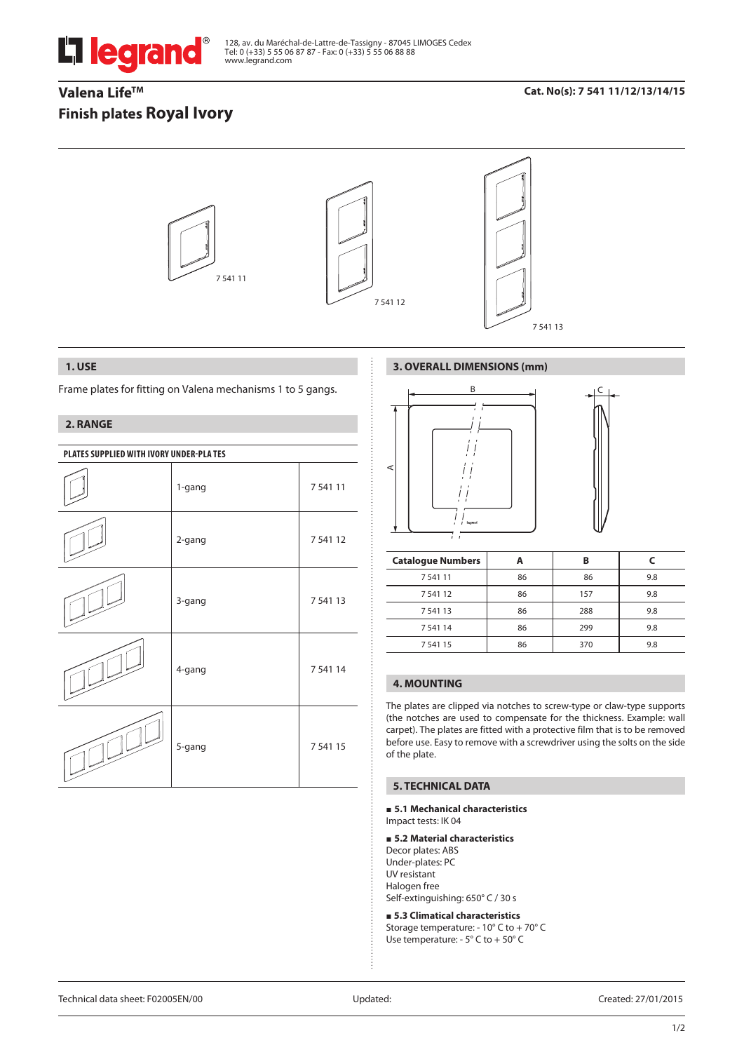

128, av. du Maréchal-de-Lattre-de-Tassigny - 87045 LIMOGES Cedex Tel: 0 (+33) 5 55 06 87 87 - Fax: 0 (+33) 5 55 06 88 88 www.legrand.com

# Valena Life<sup>™</sup> **Finish plates Royal Ivory**

## **Cat. No(s): 7 541 11/12/13/14/15**



## **1. USE**

Frame plates for fitting on Valena mechanisms 1 to 5 gangs.

## **2. RANGE**

| PLATES SUPPLIED WITH IVORY UNDER-PLATES |        |             |  |
|-----------------------------------------|--------|-------------|--|
|                                         | 1-gang | 7 5 4 1 1 1 |  |
|                                         | 2-gang | 7 541 12    |  |
|                                         | 3-gang | 7 541 13    |  |
|                                         | 4-gang | 7 541 14    |  |
|                                         | 5-gang | 7 5 4 1 1 5 |  |

## **3. OVERALL DIMENSIONS (mm)**



| <b>Catalogue Numbers</b> |    | в   |     |
|--------------------------|----|-----|-----|
| 7 541 11                 | 86 | 86  | 9.8 |
| 7 541 12                 | 86 | 157 | 9.8 |
| 7 541 13                 | 86 | 288 | 9.8 |
| 7 541 14                 | 86 | 299 | 9.8 |
| 7 5 4 1 1 5              | 86 | 370 | 9.8 |

## **4. MOUNTING**

The plates are clipped via notches to screw-type or claw-type supports (the notches are used to compensate for the thickness. Example: wall carpet). The plates are fitted with a protective film that is to be removed before use. Easy to remove with a screwdriver using the solts on the side of the plate.

### **5. TECHNICAL DATA**

#### **5.1 Mechanical characteristics** Impact tests: IK 04

### **5.2 Material characteristics**

Decor plates: ABS Under-plates: PC UV resistant Halogen free Self-extinguishing: 650° C / 30 s

 **5.3 Climatical characteristics** Storage temperature: - 10° C to + 70° C Use temperature: - 5° C to + 50° C

Technical data sheet: F02005EN/00 Updated: Created: 27/01/2015